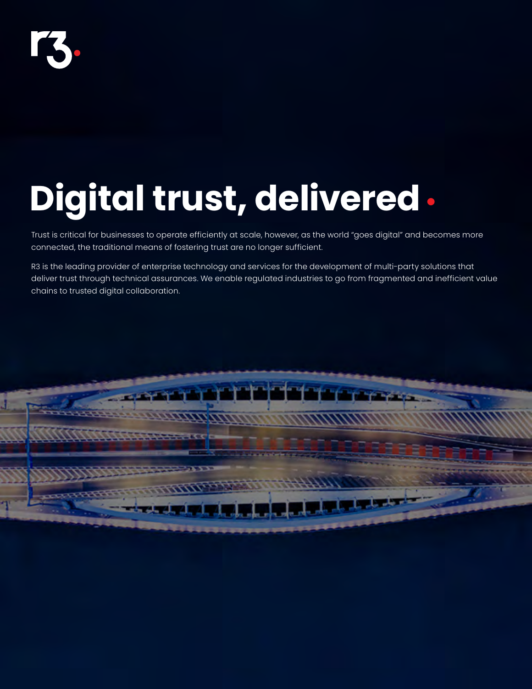

# **Digital trust, delivered•**

Trust is critical for businesses to operate efficiently at scale, however, as the world "goes digital" and becomes more connected, the traditional means of fostering trust are no longer sufficient.

R3 is the leading provider of enterprise technology and services for the development of multi-party solutions that deliver trust through technical assurances. We enable regulated industries to go from fragmented and inefficient value chains to trusted digital collaboration.

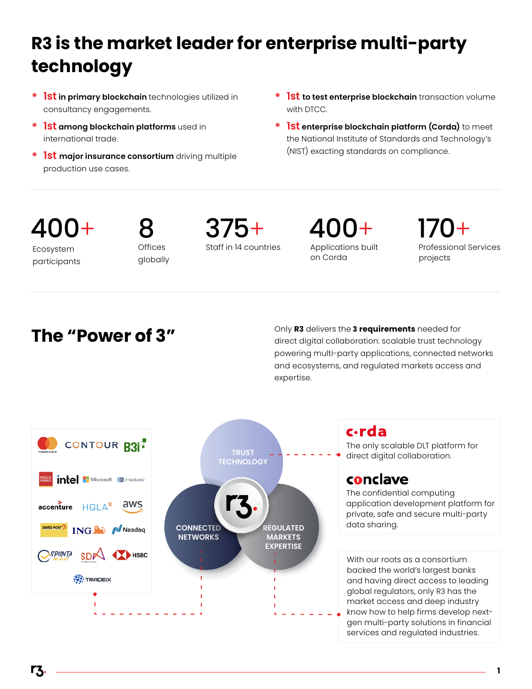# **R3 is the market leader for enterprise multi-party technology**

- **• 1st in primary blockchain** technologies utilized in consultancy engagements.
- **• 1st among blockchain platforms** used in international trade.
- **• 1st major insurance consortium** driving multiple production use cases.
- **• 1st to test enterprise blockchain** transaction volume with DTCC.
- **• 1st enterprise blockchain platform (Corda)** to meet the National Institute of Standards and Technology's (NIST) exacting standards on compliance.

# 400+

Ecosystem participants Offices 8 globally Staff in 14 countries 375+

Applications built on Corda 400+

170+<br>Professional Services projects

**The "Power of 3"** Only **R3** delivers the **3 requirements** needed for direct digital collaboration: scalable trust technology powering multi-party applications, connected networks and ecosystems, and regulated markets access and expertise.



### c.rda

The only scalable DLT platform for direct digital collaboration.

### conclave

The confidential computing application development platform for private, safe and secure multi-party data sharing.

With our roots as a consortium backed the world's largest banks and having direct access to leading global regulators, only R3 has the market access and deep industry know how to help firms develop nextgen multi-party solutions in financial services and regulated industries.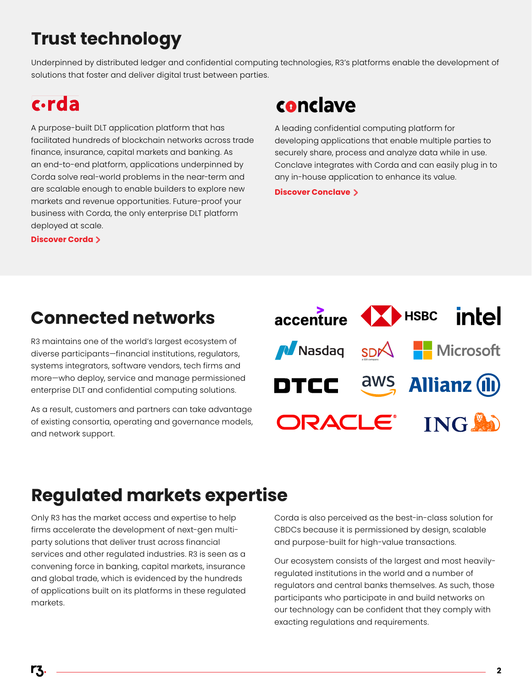## **Trust technology**

Underpinned by distributed ledger and confidential computing technologies, R3's platforms enable the development of solutions that foster and deliver digital trust between parties.

### c.rda

A purpose-built DLT application platform that has facilitated hundreds of blockchain networks across trade finance, insurance, capital markets and banking. As an end-to-end platform, applications underpinned by Corda solve real-world problems in the near-term and are scalable enough to enable builders to explore new markets and revenue opportunities. Future-proof your business with Corda, the only enterprise DLT platform deployed at scale. are scalable enough to enable ballacts to explore hew<br>markets and revenue opportunities. Future-proof your<br>business with Corda, the only enterprise DLT platform<br>deployed at scale.<br>**[Discover Corda](https://www.r3.com/corda-platform/)** >

### conclave

A leading confidential computing platform for developing applications that enable multiple parties to securely share, process and analyze data while in use. Conclave integrates with Corda and can easily plug in to any in-house application to enhance its value.

### **Connected networks**

R3 maintains one of the world's largest ecosystem of diverse participants—financial institutions, regulators, systems integrators, software vendors, tech firms and more—who deploy, service and manage permissioned enterprise DLT and confidential computing solutions.

As a result, customers and partners can take advantage of existing consortia, operating and governance models, and network support.



### **Regulated markets expertise**

Only R3 has the market access and expertise to help firms accelerate the development of next-gen multiparty solutions that deliver trust across financial services and other regulated industries. R3 is seen as a convening force in banking, capital markets, insurance and global trade, which is evidenced by the hundreds of applications built on its platforms in these regulated markets.

Corda is also perceived as the best-in-class solution for CBDCs because it is permissioned by design, scalable and purpose-built for high-value transactions.

Our ecosystem consists of the largest and most heavilyregulated institutions in the world and a number of regulators and central banks themselves. As such, those participants who participate in and build networks on our technology can be confident that they comply with exacting regulations and requirements.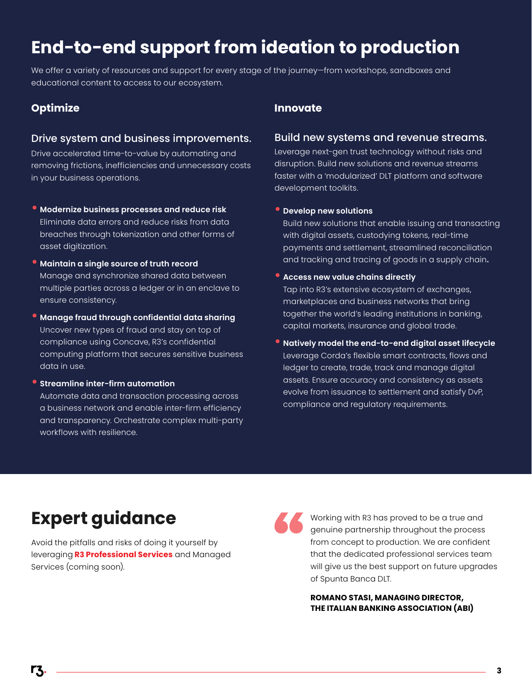### **End-to-end support from ideation to production**

We offer a variety of resources and support for every stage of the journey—from workshops, sandboxes and educational content to access to our ecosystem.

### **Optimize Innovate**

#### Drive system and business improvements.

Drive accelerated time-to-value by automating and removing frictions, inefficiencies and unnecessary costs in your business operations.

- **• Modernize business processes and reduce risk** Eliminate data errors and reduce risks from data breaches through tokenization and other forms of asset digitization.
- **• Maintain a single source of truth record** Manage and synchronize shared data between multiple parties across a ledger or in an enclave to ensure consistency.
- **• Manage fraud through confidential data sharing** Uncover new types of fraud and stay on top of compliance using Concave, R3's confidential computing platform that secures sensitive business data in use.
- **• Streamline inter-firm automation** Automate data and transaction processing across a business network and enable inter-firm efficiency and transparency. Orchestrate complex multi-party workflows with resilience.

#### Build new systems and revenue streams.

Leverage next-gen trust technology without risks and disruption. Build new solutions and revenue streams faster with a 'modularized' DLT platform and software development toolkits.

#### **• Develop new solutions**

Build new solutions that enable issuing and transacting with digital assets, custodying tokens, real-time payments and settlement, streamlined reconciliation and tracking and tracing of goods in a supply chain**.** 

#### **• Access new value chains directly**

Tap into R3's extensive ecosystem of exchanges, marketplaces and business networks that bring together the world's leading institutions in banking, capital markets, insurance and global trade.

**• Natively model the end-to-end digital asset lifecycle** Leverage Corda's flexible smart contracts, flows and ledger to create, trade, track and manage digital assets. Ensure accuracy and consistency as assets evolve from issuance to settlement and satisfy DvP, compliance and regulatory requirements.

### **Expert guidance**

Avoid the pitfalls and risks of doing it yourself by leveraging **[R3 Professional Services](https://www.r3.com/professional-services/)** and Managed Services (coming soon).

Working with R3 has proved to be a true and genuine partnership throughout the process from concept to production. We are confident that the dedicated professional services team will give us the best support on future upgrades of Spunta Banca DLT.

**ROMANO STASI, MANAGING DIRECTOR, THE ITALIAN BANKING ASSOCIATION (ABI)**

rz.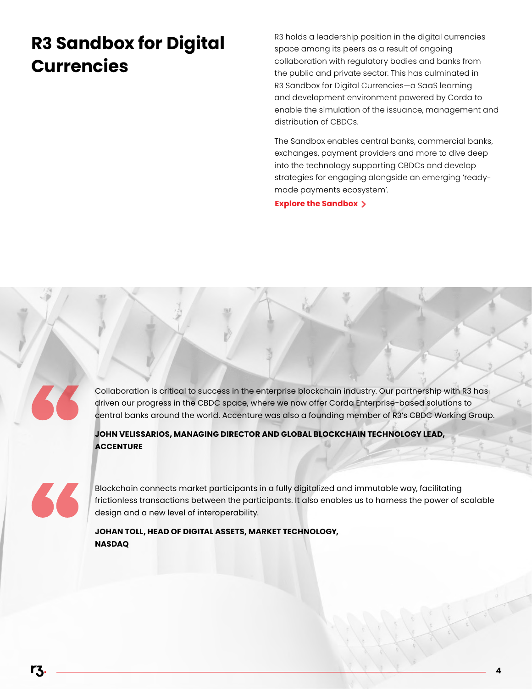### **R3 Sandbox for Digital Currencies**

R3 holds a leadership position in the digital currencies space among its peers as a result of ongoing collaboration with regulatory bodies and banks from the public and private sector. This has culminated in [R3 Sandbox for Digital Currencies—](https://www.r3.com/digital-currency-sandbox/)a SaaS learning and development environment powered by Corda to enable the simulation of the issuance, management and distribution of CBDCs.

The Sandbox enables central banks, commercial banks, exchanges, payment providers and more to dive deep into the technology supporting CBDCs and develop strategies for engaging alongside an emerging 'readymade payments ecosystem'.

**4**

**[Explore the Sandbox](https://www.r3.com/digital-currency-sandbox/)**

Collaboration is critical to success in the enterprise blockchain industry. Our partnership with R3 has driven our progress in the CBDC space, where we now offer Corda Enterprise-based solutions to central banks around the world. Accenture was also a founding member of R3's CBDC Working Group.

**JOHN VELISSARIOS, MANAGING DIRECTOR AND GLOBAL BLOCKCHAIN TECHNOLOGY LEAD, ACCENTURE**



Blockchain connects market participants in a fully digitalized and immutable way, facilitating frictionless transactions between the participants. It also enables us to harness the power of scalable design and a new level of interoperability.

**JOHAN TOLL, HEAD OF DIGITAL ASSETS, MARKET TECHNOLOGY, NASDAQ**